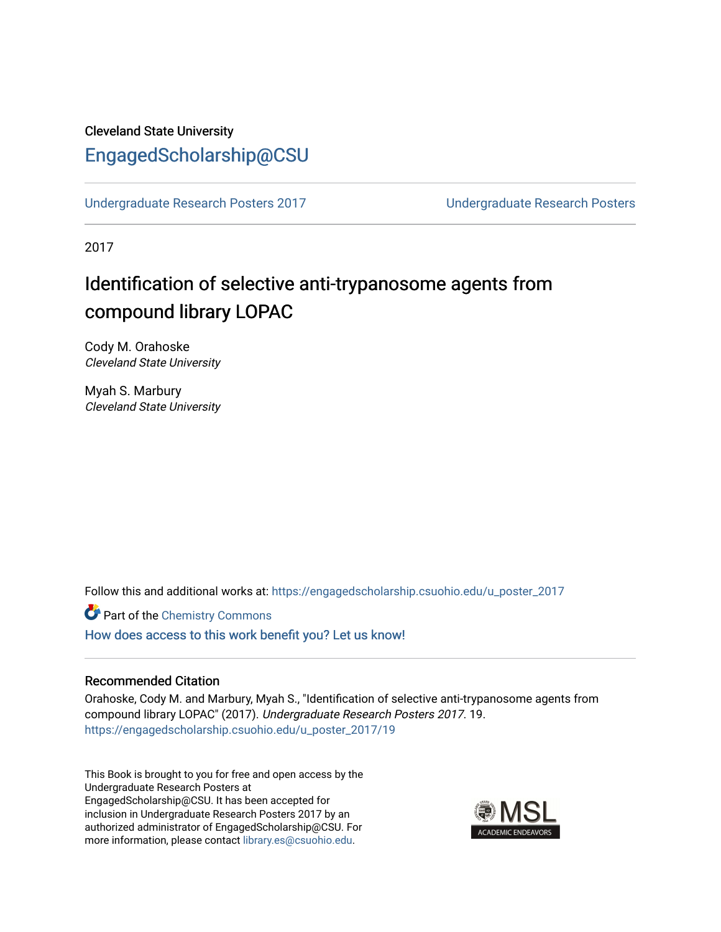## Cleveland State University [EngagedScholarship@CSU](https://engagedscholarship.csuohio.edu/)

[Undergraduate Research Posters 2017](https://engagedscholarship.csuohio.edu/u_poster_2017) [Undergraduate Research Posters](https://engagedscholarship.csuohio.edu/u_poster) 

2017

# Identification of selective anti-trypanosome agents from compound library LOPAC

Cody M. Orahoske Cleveland State University

Myah S. Marbury Cleveland State University

Follow this and additional works at: [https://engagedscholarship.csuohio.edu/u\\_poster\\_2017](https://engagedscholarship.csuohio.edu/u_poster_2017?utm_source=engagedscholarship.csuohio.edu%2Fu_poster_2017%2F19&utm_medium=PDF&utm_campaign=PDFCoverPages) 

Part of the [Chemistry Commons](http://network.bepress.com/hgg/discipline/131?utm_source=engagedscholarship.csuohio.edu%2Fu_poster_2017%2F19&utm_medium=PDF&utm_campaign=PDFCoverPages)  [How does access to this work benefit you? Let us know!](http://library.csuohio.edu/engaged/)

#### Recommended Citation

Orahoske, Cody M. and Marbury, Myah S., "Identification of selective anti-trypanosome agents from compound library LOPAC" (2017). Undergraduate Research Posters 2017. 19. [https://engagedscholarship.csuohio.edu/u\\_poster\\_2017/19](https://engagedscholarship.csuohio.edu/u_poster_2017/19?utm_source=engagedscholarship.csuohio.edu%2Fu_poster_2017%2F19&utm_medium=PDF&utm_campaign=PDFCoverPages) 

This Book is brought to you for free and open access by the Undergraduate Research Posters at EngagedScholarship@CSU. It has been accepted for inclusion in Undergraduate Research Posters 2017 by an authorized administrator of EngagedScholarship@CSU. For more information, please contact [library.es@csuohio.edu](mailto:library.es@csuohio.edu).